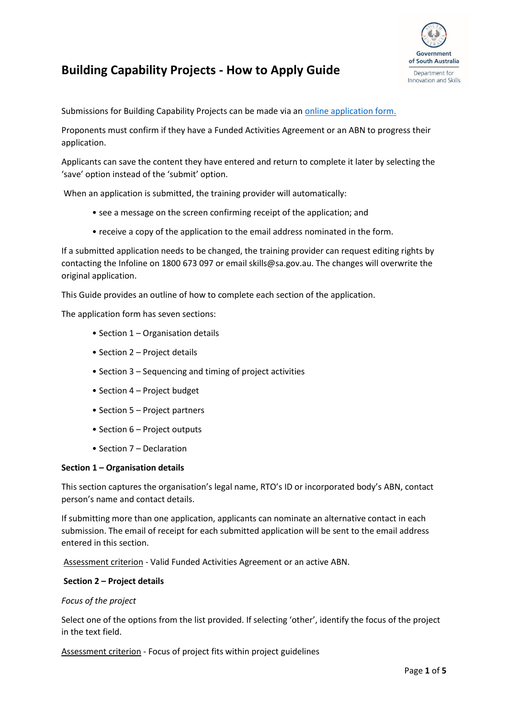

# **Building Capability Projects - How to Apply Guide**

Submissions for Building Capability Projects can be made via an [online application form.](https://providers.skills.sa.gov.au/Apply/Other-subsidies/Apply-to-deliver-a-capability-building-project) 

Proponents must confirm if they have a Funded Activities Agreement or an ABN to progress their application.

Applicants can save the content they have entered and return to complete it later by selecting the 'save' option instead of the 'submit' option.

When an application is submitted, the training provider will automatically:

- see a message on the screen confirming receipt of the application; and
- receive a copy of the application to the email address nominated in the form.

If a submitted application needs to be changed, the training provider can request editing rights by contacting the Infoline on 1800 673 097 or email skills@sa.gov.au. The changes will overwrite the original application.

This Guide provides an outline of how to complete each section of the application.

The application form has seven sections:

- Section 1 Organisation details
- Section 2 Project details
- Section 3 Sequencing and timing of project activities
- Section 4 Project budget
- Section 5 Project partners
- Section 6 Project outputs
- Section 7 Declaration

#### **Section 1 – Organisation details**

This section captures the organisation's legal name, RTO's ID or incorporated body's ABN, contact person's name and contact details.

If submitting more than one application, applicants can nominate an alternative contact in each submission. The email of receipt for each submitted application will be sent to the email address entered in this section.

Assessment criterion - Valid Funded Activities Agreement or an active ABN.

#### **Section 2 – Project details**

#### *Focus of the project*

Select one of the options from the list provided. If selecting 'other', identify the focus of the project in the text field.

Assessment criterion - Focus of project fits within project guidelines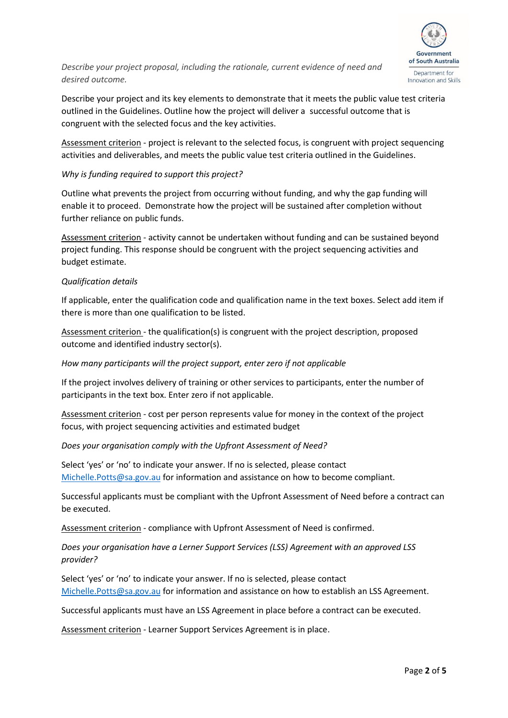

*Describe your project proposal, including the rationale, current evidence of need and desired outcome.*

Describe your project and its key elements to demonstrate that it meets the public value test criteria outlined in the Guidelines. Outline how the project will deliver a successful outcome that is congruent with the selected focus and the key activities.

Assessment criterion - project is relevant to the selected focus, is congruent with project sequencing activities and deliverables, and meets the public value test criteria outlined in the Guidelines.

## *Why is funding required to support this project?*

Outline what prevents the project from occurring without funding, and why the gap funding will enable it to proceed. Demonstrate how the project will be sustained after completion without further reliance on public funds.

Assessment criterion - activity cannot be undertaken without funding and can be sustained beyond project funding. This response should be congruent with the project sequencing activities and budget estimate.

### *Qualification details*

If applicable, enter the qualification code and qualification name in the text boxes. Select add item if there is more than one qualification to be listed.

Assessment criterion - the qualification(s) is congruent with the project description, proposed outcome and identified industry sector(s).

## *How many participants will the project support, enter zero if not applicable*

If the project involves delivery of training or other services to participants, enter the number of participants in the text box. Enter zero if not applicable.

Assessment criterion - cost per person represents value for money in the context of the project focus, with project sequencing activities and estimated budget

### *Does your organisation comply with the Upfront Assessment of Need?*

Select 'yes' or 'no' to indicate your answer. If no is selected, please contact [Michelle.Potts@sa.gov.au](mailto:Michelle.Potts@sa.gov.au) for information and assistance on how to become compliant.

Successful applicants must be compliant with the Upfront Assessment of Need before a contract can be executed.

Assessment criterion - compliance with Upfront Assessment of Need is confirmed.

# *Does your organisation have a Lerner Support Services (LSS) Agreement with an approved LSS provider?*

Select 'yes' or 'no' to indicate your answer. If no is selected, please contact [Michelle.Potts@sa.gov.au](mailto:Michelle.Potts@sa.gov.au) for information and assistance on how to establish an LSS Agreement.

Successful applicants must have an LSS Agreement in place before a contract can be executed.

Assessment criterion - Learner Support Services Agreement is in place.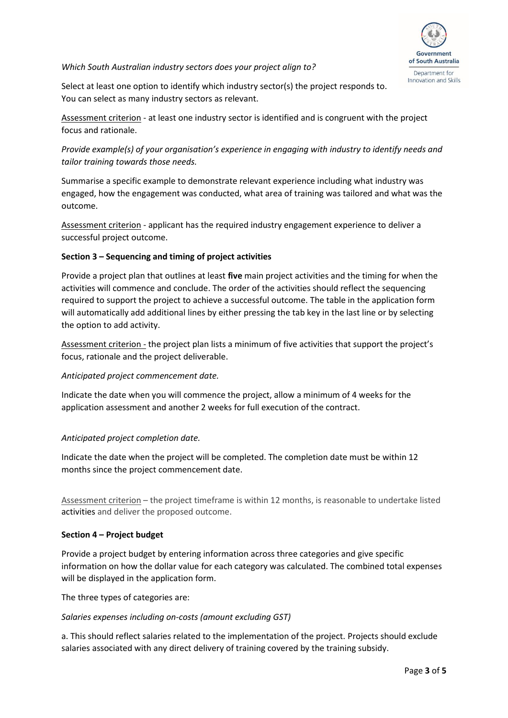

#### *Which South Australian industry sectors does your project align to?*

Select at least one option to identify which industry sector(s) the project responds to. You can select as many industry sectors as relevant.

Assessment criterion - at least one industry sector is identified and is congruent with the project focus and rationale.

*Provide example(s) of your organisation's experience in engaging with industry to identify needs and tailor training towards those needs.* 

Summarise a specific example to demonstrate relevant experience including what industry was engaged, how the engagement was conducted, what area of training was tailored and what was the outcome.

Assessment criterion - applicant has the required industry engagement experience to deliver a successful project outcome.

# **Section 3 – Sequencing and timing of project activities**

Provide a project plan that outlines at least **five** main project activities and the timing for when the activities will commence and conclude. The order of the activities should reflect the sequencing required to support the project to achieve a successful outcome. The table in the application form will automatically add additional lines by either pressing the tab key in the last line or by selecting the option to add activity.

Assessment criterion - the project plan lists a minimum of five activities that support the project's focus, rationale and the project deliverable.

### *Anticipated project commencement date.*

Indicate the date when you will commence the project, allow a minimum of 4 weeks for the application assessment and another 2 weeks for full execution of the contract.

### *Anticipated project completion date.*

Indicate the date when the project will be completed. The completion date must be within 12 months since the project commencement date.

Assessment criterion – the project timeframe is within 12 months, is reasonable to undertake listed activities and deliver the proposed outcome.

### **Section 4 – Project budget**

Provide a project budget by entering information across three categories and give specific information on how the dollar value for each category was calculated. The combined total expenses will be displayed in the application form.

The three types of categories are:

### *Salaries expenses including on-costs (amount excluding GST)*

a. This should reflect salaries related to the implementation of the project. Projects should exclude salaries associated with any direct delivery of training covered by the training subsidy.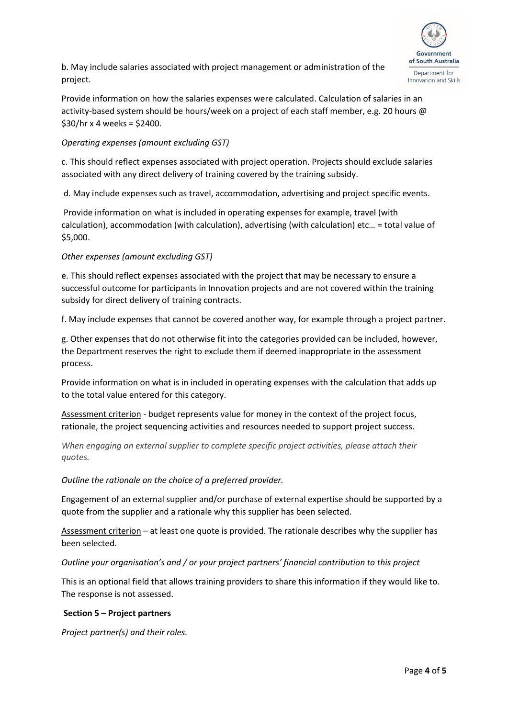

b. May include salaries associated with project management or administration of the project.

Provide information on how the salaries expenses were calculated. Calculation of salaries in an activity-based system should be hours/week on a project of each staff member, e.g. 20 hours @  $$30/hr x 4 weeks = $2400.$ 

# *Operating expenses (amount excluding GST)*

c. This should reflect expenses associated with project operation. Projects should exclude salaries associated with any direct delivery of training covered by the training subsidy.

d. May include expenses such as travel, accommodation, advertising and project specific events.

Provide information on what is included in operating expenses for example, travel (with calculation), accommodation (with calculation), advertising (with calculation) etc… = total value of \$5,000.

# *Other expenses (amount excluding GST)*

e. This should reflect expenses associated with the project that may be necessary to ensure a successful outcome for participants in Innovation projects and are not covered within the training subsidy for direct delivery of training contracts.

f. May include expenses that cannot be covered another way, for example through a project partner.

g. Other expenses that do not otherwise fit into the categories provided can be included, however, the Department reserves the right to exclude them if deemed inappropriate in the assessment process.

Provide information on what is in included in operating expenses with the calculation that adds up to the total value entered for this category.

Assessment criterion - budget represents value for money in the context of the project focus, rationale, the project sequencing activities and resources needed to support project success.

*When engaging an external supplier to complete specific project activities, please attach their quotes.*

### *Outline the rationale on the choice of a preferred provider.*

Engagement of an external supplier and/or purchase of external expertise should be supported by a quote from the supplier and a rationale why this supplier has been selected.

Assessment criterion – at least one quote is provided. The rationale describes why the supplier has been selected.

*Outline your organisation's and / or your project partners' financial contribution to this project* 

This is an optional field that allows training providers to share this information if they would like to. The response is not assessed.

### **Section 5 – Project partners**

*Project partner(s) and their roles.*